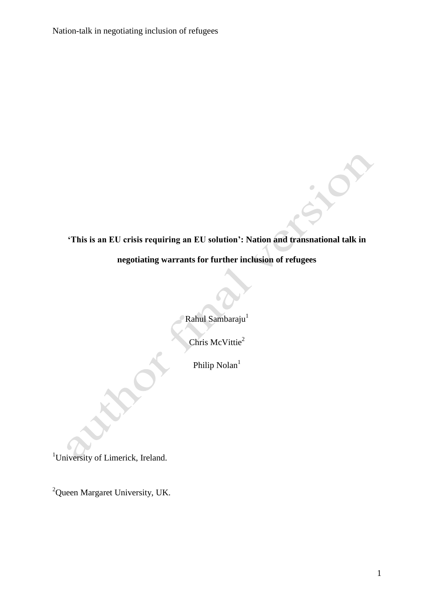Nation-talk in negotiating inclusion of refugees

# **'This is an EU crisis requiring an EU solution': Nation and transnational talk in negotiating warrants for further inclusion of refugees**

Rahul Sambaraju<sup>1</sup>

Chris McVittie<sup>2</sup>

Philip Nolan<sup>1</sup>

<sup>1</sup>University of Limerick, Ireland.

<sup>2</sup>Queen Margaret University, UK.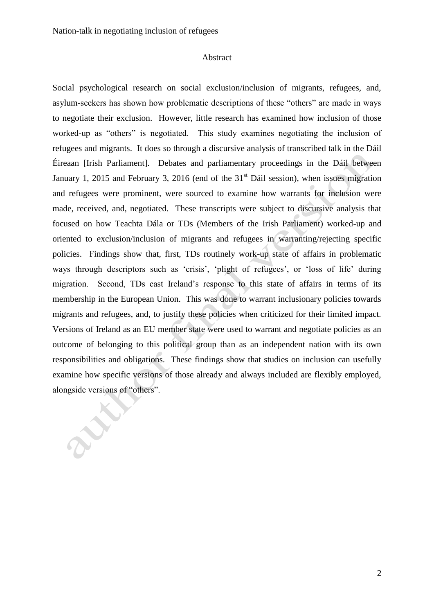E

#### Abstract

Social psychological research on social exclusion/inclusion of migrants, refugees, and, asylum-seekers has shown how problematic descriptions of these "others" are made in ways to negotiate their exclusion. However, little research has examined how inclusion of those worked-up as "others" is negotiated. This study examines negotiating the inclusion of refugees and migrants. It does so through a discursive analysis of transcribed talk in the Dáil Éireaan [Irish Parliament]. Debates and parliamentary proceedings in the Dáil between January 1, 2015 and February 3, 2016 (end of the  $31<sup>st</sup>$  Dáil session), when issues migration and refugees were prominent, were sourced to examine how warrants for inclusion were made, received, and, negotiated. These transcripts were subject to discursive analysis that focused on how Teachta Dála or TDs (Members of the Irish Parliament) worked-up and oriented to exclusion/inclusion of migrants and refugees in warranting/rejecting specific policies. Findings show that, first, TDs routinely work-up state of affairs in problematic ways through descriptors such as 'crisis', 'plight of refugees', or 'loss of life' during migration. Second, TDs cast Ireland's response to this state of affairs in terms of its membership in the European Union. This was done to warrant inclusionary policies towards migrants and refugees, and, to justify these policies when criticized for their limited impact. Versions of Ireland as an EU member state were used to warrant and negotiate policies as an outcome of belonging to this political group than as an independent nation with its own responsibilities and obligations. These findings show that studies on inclusion can usefully examine how specific versions of those already and always included are flexibly employed, alongside versions of "others".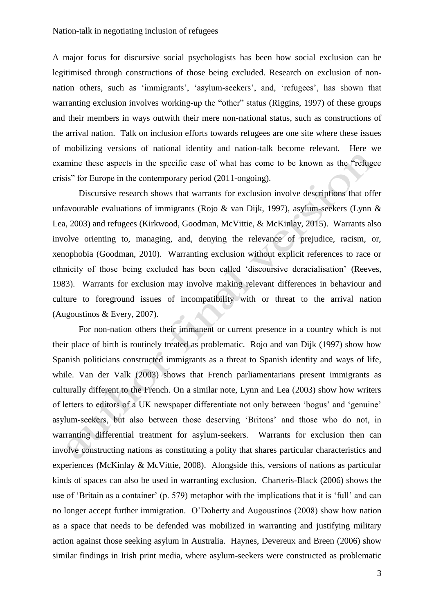A major focus for discursive social psychologists has been how social exclusion can be legitimised through constructions of those being excluded. Research on exclusion of nonnation others, such as 'immigrants', 'asylum-seekers', and, 'refugees', has shown that warranting exclusion involves working-up the "other" status (Riggins, 1997) of these groups and their members in ways outwith their mere non-national status, such as constructions of the arrival nation. Talk on inclusion efforts towards refugees are one site where these issues of mobilizing versions of national identity and nation-talk become relevant. Here we examine these aspects in the specific case of what has come to be known as the "refugee crisis" for Europe in the contemporary period (2011-ongoing).

Discursive research shows that warrants for exclusion involve descriptions that offer unfavourable evaluations of immigrants (Rojo & van Dijk, 1997), asylum-seekers (Lynn & Lea, 2003) and refugees (Kirkwood, Goodman, McVittie, & McKinlay, 2015). Warrants also involve orienting to, managing, and, denying the relevance of prejudice, racism, or, xenophobia (Goodman, 2010). Warranting exclusion without explicit references to race or ethnicity of those being excluded has been called 'discoursive deracialisation' (Reeves, 1983). Warrants for exclusion may involve making relevant differences in behaviour and culture to foreground issues of incompatibility with or threat to the arrival nation (Augoustinos & Every, 2007).

For non-nation others their immanent or current presence in a country which is not their place of birth is routinely treated as problematic. Rojo and van Dijk (1997) show how Spanish politicians constructed immigrants as a threat to Spanish identity and ways of life, while. Van der Valk (2003) shows that French parliamentarians present immigrants as culturally different to the French. On a similar note, Lynn and Lea (2003) show how writers of letters to editors of a UK newspaper differentiate not only between 'bogus' and 'genuine' asylum-seekers, but also between those deserving 'Britons' and those who do not, in warranting differential treatment for asylum-seekers. Warrants for exclusion then can involve constructing nations as constituting a polity that shares particular characteristics and experiences (McKinlay & McVittie, 2008). Alongside this, versions of nations as particular kinds of spaces can also be used in warranting exclusion. Charteris-Black (2006) shows the use of 'Britain as a container' (p. 579) metaphor with the implications that it is 'full' and can no longer accept further immigration. O'Doherty and Augoustinos (2008) show how nation as a space that needs to be defended was mobilized in warranting and justifying military action against those seeking asylum in Australia. Haynes, Devereux and Breen (2006) show similar findings in Irish print media, where asylum-seekers were constructed as problematic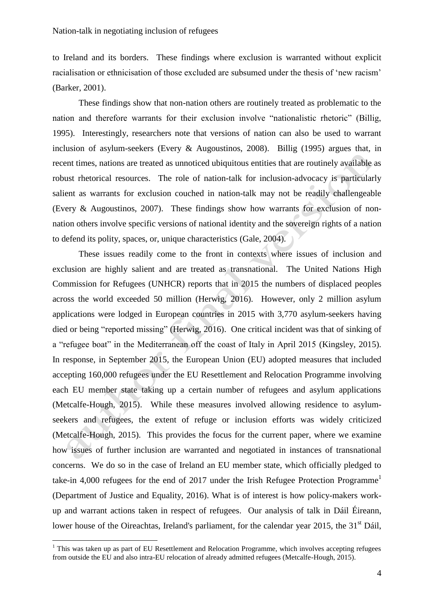to Ireland and its borders. These findings where exclusion is warranted without explicit racialisation or ethnicisation of those excluded are subsumed under the thesis of 'new racism' (Barker, 2001).

These findings show that non-nation others are routinely treated as problematic to the nation and therefore warrants for their exclusion involve "nationalistic rhetoric" (Billig, 1995). Interestingly, researchers note that versions of nation can also be used to warrant inclusion of asylum-seekers (Every & Augoustinos, 2008). Billig (1995) argues that, in recent times, nations are treated as unnoticed ubiquitous entities that are routinely available as robust rhetorical resources. The role of nation-talk for inclusion-advocacy is particularly salient as warrants for exclusion couched in nation-talk may not be readily challengeable (Every & Augoustinos, 2007). These findings show how warrants for exclusion of nonnation others involve specific versions of national identity and the sovereign rights of a nation to defend its polity, spaces, or, unique characteristics (Gale, 2004).

These issues readily come to the front in contexts where issues of inclusion and exclusion are highly salient and are treated as transnational. The United Nations High Commission for Refugees (UNHCR) reports that in 2015 the numbers of displaced peoples across the world exceeded 50 million (Herwig, 2016). However, only 2 million asylum applications were lodged in European countries in 2015 with 3,770 asylum-seekers having died or being "reported missing" (Herwig, 2016). One critical incident was that of sinking of a "refugee boat" in the Mediterranean off the coast of Italy in April 2015 (Kingsley, 2015). In response, in September 2015, the European Union (EU) adopted measures that included accepting 160,000 refugees under the EU Resettlement and Relocation Programme involving each EU member state taking up a certain number of refugees and asylum applications (Metcalfe-Hough, 2015). While these measures involved allowing residence to asylumseekers and refugees, the extent of refuge or inclusion efforts was widely criticized (Metcalfe-Hough, 2015). This provides the focus for the current paper, where we examine how issues of further inclusion are warranted and negotiated in instances of transnational concerns. We do so in the case of Ireland an EU member state, which officially pledged to take-in 4,000 refugees for the end of 2017 under the Irish Refugee Protection Programme<sup>1</sup> (Department of Justice and Equality, 2016). What is of interest is how policy-makers workup and warrant actions taken in respect of refugees. Our analysis of talk in Dáil Éireann, lower house of the Oireachtas, Ireland's parliament, for the calendar year 2015, the 31<sup>st</sup> Dáil,

<sup>&</sup>lt;sup>1</sup> This was taken up as part of EU Resettlement and Relocation Programme, which involves accepting refugees from outside the EU and also intra-EU relocation of already admitted refugees (Metcalfe-Hough, 2015).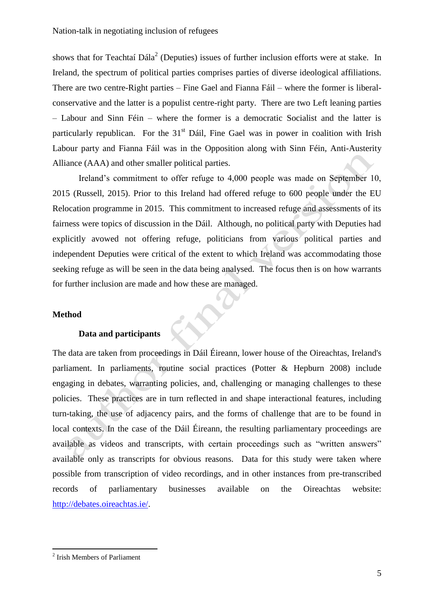shows that for Teachtaí  $Dála<sup>2</sup>$  (Deputies) issues of further inclusion efforts were at stake. In Ireland, the spectrum of political parties comprises parties of diverse ideological affiliations. There are two centre-Right parties – Fine Gael and Fianna Fáil – where the former is liberalconservative and the latter is a populist centre-right party. There are two Left leaning parties – Labour and Sinn Féin – where the former is a democratic Socialist and the latter is particularly republican. For the  $31<sup>st</sup>$  Dáil, Fine Gael was in power in coalition with Irish Labour party and Fianna Fáil was in the Opposition along with Sinn Féin, Anti-Austerity Alliance (AAA) and other smaller political parties.

Ireland's commitment to offer refuge to 4,000 people was made on September 10, 2015 (Russell, 2015). Prior to this Ireland had offered refuge to 600 people under the EU Relocation programme in 2015. This commitment to increased refuge and assessments of its fairness were topics of discussion in the Dáil. Although, no political party with Deputies had explicitly avowed not offering refuge, politicians from various political parties and independent Deputies were critical of the extent to which Ireland was accommodating those seeking refuge as will be seen in the data being analysed. The focus then is on how warrants for further inclusion are made and how these are managed.

LIVE

## **Method**

#### **Data and participants**

The data are taken from proceedings in Dáil Éireann, lower house of the Oireachtas, Ireland's parliament. In parliaments, routine social practices (Potter & Hepburn 2008) include engaging in debates, warranting policies, and, challenging or managing challenges to these policies. These practices are in turn reflected in and shape interactional features, including turn-taking, the use of adjacency pairs, and the forms of challenge that are to be found in local contexts. In the case of the Dáil Éireann, the resulting parliamentary proceedings are available as videos and transcripts, with certain proceedings such as "written answers" available only as transcripts for obvious reasons. Data for this study were taken where possible from transcription of video recordings, and in other instances from pre-transcribed records of parliamentary businesses available on the Oireachtas website: [http://debates.oireachtas.ie/.](http://debates.oireachtas.ie/)

<sup>2</sup> Irish Members of Parliament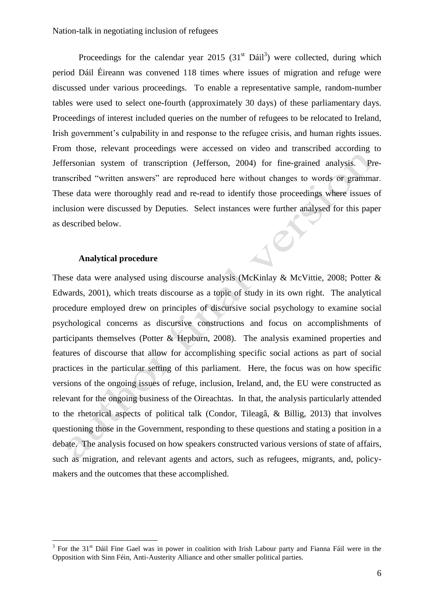Proceedings for the calendar year 2015  $(31<sup>st</sup> Dáil<sup>3</sup>)$  were collected, during which period Dáil Éireann was convened 118 times where issues of migration and refuge were discussed under various proceedings. To enable a representative sample, random-number tables were used to select one-fourth (approximately 30 days) of these parliamentary days. Proceedings of interest included queries on the number of refugees to be relocated to Ireland, Irish government's culpability in and response to the refugee crisis, and human rights issues. From those, relevant proceedings were accessed on video and transcribed according to Jeffersonian system of transcription (Jefferson, 2004) for fine-grained analysis. Pretranscribed "written answers" are reproduced here without changes to words or grammar. These data were thoroughly read and re-read to identify those proceedings where issues of inclusion were discussed by Deputies. Select instances were further analysed for this paper Jer as described below.

## **Analytical procedure**

These data were analysed using discourse analysis (McKinlay & McVittie, 2008; Potter & Edwards, 2001), which treats discourse as a topic of study in its own right. The analytical procedure employed drew on principles of discursive social psychology to examine social psychological concerns as discursive constructions and focus on accomplishments of participants themselves (Potter & Hepburn, 2008). The analysis examined properties and features of discourse that allow for accomplishing specific social actions as part of social practices in the particular setting of this parliament. Here, the focus was on how specific versions of the ongoing issues of refuge, inclusion, Ireland, and, the EU were constructed as relevant for the ongoing business of the Oireachtas. In that, the analysis particularly attended to the rhetorical aspects of political talk (Condor, Tileagâ, & Billig, 2013) that involves questioning those in the Government, responding to these questions and stating a position in a debate. The analysis focused on how speakers constructed various versions of state of affairs, such as migration, and relevant agents and actors, such as refugees, migrants, and, policymakers and the outcomes that these accomplished.

<sup>&</sup>lt;sup>3</sup> For the 31<sup>st</sup> Dáil Fine Gael was in power in coalition with Irish Labour party and Fianna Fáil were in the Opposition with Sinn Féin, Anti-Austerity Alliance and other smaller political parties.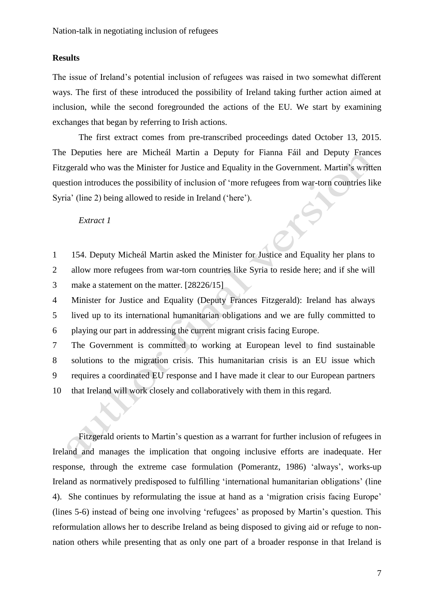# **Results**

The issue of Ireland's potential inclusion of refugees was raised in two somewhat different ways. The first of these introduced the possibility of Ireland taking further action aimed at inclusion, while the second foregrounded the actions of the EU. We start by examining exchanges that began by referring to Irish actions.

The first extract comes from pre-transcribed proceedings dated October 13, 2015. The Deputies here are Micheál Martin a Deputy for Fianna Fáil and Deputy Frances Fitzgerald who was the Minister for Justice and Equality in the Government. Martin's written question introduces the possibility of inclusion of 'more refugees from war-torn countries like Syria' (line 2) being allowed to reside in Ireland ('here').

*Extract 1*

1 2 154. Deputy Micheál Martin asked the Minister for Justice and Equality her plans to allow more refugees from war-torn countries like Syria to reside here; and if she will

3 make a statement on the matter. [28226/15]

4 5 6 Minister for Justice and Equality (Deputy Frances Fitzgerald): Ireland has always lived up to its international humanitarian obligations and we are fully committed to playing our part in addressing the current migrant crisis facing Europe.

7 8 9 10 The Government is committed to working at European level to find sustainable solutions to the migration crisis. This humanitarian crisis is an EU issue which requires a coordinated EU response and I have made it clear to our European partners that Ireland will work closely and collaboratively with them in this regard.

Fitzgerald orients to Martin's question as a warrant for further inclusion of refugees in Ireland and manages the implication that ongoing inclusive efforts are inadequate. Her response, through the extreme case formulation (Pomerantz, 1986) 'always', works-up Ireland as normatively predisposed to fulfilling 'international humanitarian obligations' (line 4). She continues by reformulating the issue at hand as a 'migration crisis facing Europe' (lines 5-6) instead of being one involving 'refugees' as proposed by Martin's question. This reformulation allows her to describe Ireland as being disposed to giving aid or refuge to nonnation others while presenting that as only one part of a broader response in that Ireland is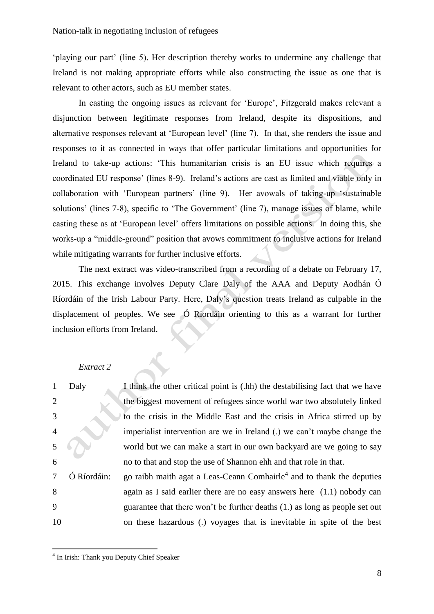'playing our part' (line 5). Her description thereby works to undermine any challenge that Ireland is not making appropriate efforts while also constructing the issue as one that is relevant to other actors, such as EU member states.

In casting the ongoing issues as relevant for 'Europe', Fitzgerald makes relevant a disjunction between legitimate responses from Ireland, despite its dispositions, and alternative responses relevant at 'European level' (line 7). In that, she renders the issue and responses to it as connected in ways that offer particular limitations and opportunities for Ireland to take-up actions: 'This humanitarian crisis is an EU issue which requires a coordinated EU response' (lines 8-9). Ireland's actions are cast as limited and viable only in collaboration with 'European partners' (line 9). Her avowals of taking-up 'sustainable solutions' (lines 7-8), specific to 'The Government' (line 7), manage issues of blame, while casting these as at 'European level' offers limitations on possible actions. In doing this, she works-up a "middle-ground" position that avows commitment to inclusive actions for Ireland while mitigating warrants for further inclusive efforts.

The next extract was video-transcribed from a recording of a debate on February 17, 2015. This exchange involves Deputy Clare Daly of the AAA and Deputy Aodhán Ó Ríordáin of the Irish Labour Party. Here, Daly's question treats Ireland as culpable in the displacement of peoples. We see Ó Ríordáin orienting to this as a warrant for further inclusion efforts from Ireland.

#### *Extract 2*

|                | Daly        | I think the other critical point is (.hh) the destabilising fact that we have     |
|----------------|-------------|-----------------------------------------------------------------------------------|
| 2              |             | the biggest movement of refugees since world war two absolutely linked            |
| 3              |             | to the crisis in the Middle East and the crisis in Africa stirred up by           |
| $\overline{4}$ |             | imperialist intervention are we in Ireland (.) we can't maybe change the          |
| 5              |             | world but we can make a start in our own backyard are we going to say             |
| 6              |             | no to that and stop the use of Shannon ehh and that role in that.                 |
| 7              | Ó Ríordáin: | go raibh maith agat a Leas-Ceann Comhairle <sup>4</sup> and to thank the deputies |
| 8              |             | again as I said earlier there are no easy answers here $(1.1)$ nobody can         |
| 9              |             | guarantee that there won't be further deaths (1.) as long as people set out       |
| 10             |             | on these hazardous (.) voyages that is inevitable in spite of the best            |

<sup>&</sup>lt;sup>4</sup> In Irish: Thank you Deputy Chief Speaker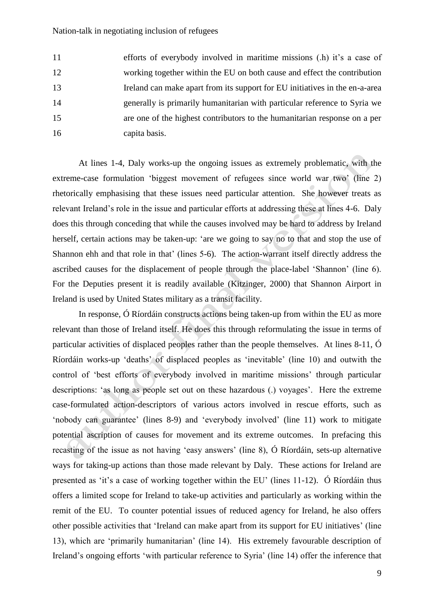11 12 13 14 15 16 efforts of everybody involved in maritime missions (.h) it's a case of working together within the EU on both cause and effect the contribution Ireland can make apart from its support for EU initiatives in the en-a-area generally is primarily humanitarian with particular reference to Syria we are one of the highest contributors to the humanitarian response on a per capita basis.

At lines 1-4, Daly works-up the ongoing issues as extremely problematic, with the extreme-case formulation 'biggest movement of refugees since world war two' (line 2) rhetorically emphasising that these issues need particular attention. She however treats as relevant Ireland's role in the issue and particular efforts at addressing these at lines 4-6. Daly does this through conceding that while the causes involved may be hard to address by Ireland herself, certain actions may be taken-up: 'are we going to say no to that and stop the use of Shannon ehh and that role in that' (lines 5-6). The action-warrant itself directly address the ascribed causes for the displacement of people through the place-label 'Shannon' (line 6). For the Deputies present it is readily available (Kitzinger, 2000) that Shannon Airport in Ireland is used by United States military as a transit facility.

In response, Ó Ríordáin constructs actions being taken-up from within the EU as more relevant than those of Ireland itself. He does this through reformulating the issue in terms of particular activities of displaced peoples rather than the people themselves. At lines 8-11, Ó Ríordáin works-up 'deaths' of displaced peoples as 'inevitable' (line 10) and outwith the control of 'best efforts of everybody involved in maritime missions' through particular descriptions: 'as long as people set out on these hazardous (.) voyages'. Here the extreme case-formulated action-descriptors of various actors involved in rescue efforts, such as 'nobody can guarantee' (lines 8-9) and 'everybody involved' (line 11) work to mitigate potential ascription of causes for movement and its extreme outcomes. In prefacing this recasting of the issue as not having 'easy answers' (line 8), Ó Ríordáin, sets-up alternative ways for taking-up actions than those made relevant by Daly. These actions for Ireland are presented as 'it's a case of working together within the EU' (lines 11-12). Ó Ríordáin thus offers a limited scope for Ireland to take-up activities and particularly as working within the remit of the EU. To counter potential issues of reduced agency for Ireland, he also offers other possible activities that 'Ireland can make apart from its support for EU initiatives' (line 13), which are 'primarily humanitarian' (line 14). His extremely favourable description of Ireland's ongoing efforts 'with particular reference to Syria' (line 14) offer the inference that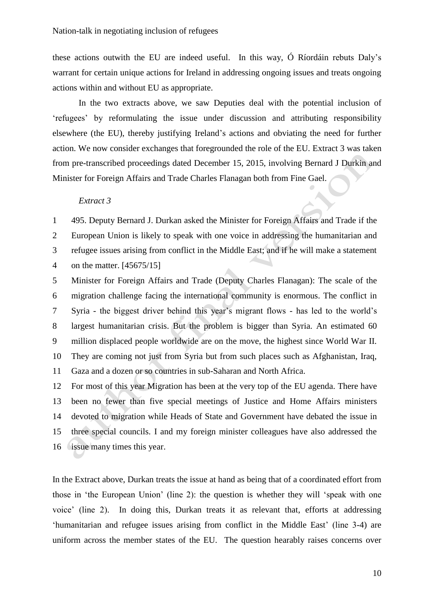these actions outwith the EU are indeed useful. In this way, Ó Ríordáin rebuts Daly's warrant for certain unique actions for Ireland in addressing ongoing issues and treats ongoing actions within and without EU as appropriate.

In the two extracts above, we saw Deputies deal with the potential inclusion of 'refugees' by reformulating the issue under discussion and attributing responsibility elsewhere (the EU), thereby justifying Ireland's actions and obviating the need for further action. We now consider exchanges that foregrounded the role of the EU. Extract 3 was taken from pre-transcribed proceedings dated December 15, 2015, involving Bernard J Durkin and Minister for Foreign Affairs and Trade Charles Flanagan both from Fine Gael.

#### *Extract 3*

1 495. Deputy Bernard J. Durkan asked the Minister for Foreign Affairs and Trade if the

2 3 European Union is likely to speak with one voice in addressing the humanitarian and refugee issues arising from conflict in the Middle East; and if he will make a statement

4 on the matter. [45675/15]

5 6 7 8 9 10 11 Minister for Foreign Affairs and Trade (Deputy Charles Flanagan): The scale of the migration challenge facing the international community is enormous. The conflict in Syria - the biggest driver behind this year's migrant flows - has led to the world's largest humanitarian crisis. But the problem is bigger than Syria. An estimated 60 million displaced people worldwide are on the move, the highest since World War II. They are coming not just from Syria but from such places such as Afghanistan, Iraq, Gaza and a dozen or so countries in sub-Saharan and North Africa.

12 13 14 15 16 issue many times this year. For most of this year Migration has been at the very top of the EU agenda. There have been no fewer than five special meetings of Justice and Home Affairs ministers devoted to migration while Heads of State and Government have debated the issue in three special councils. I and my foreign minister colleagues have also addressed the

In the Extract above, Durkan treats the issue at hand as being that of a coordinated effort from those in 'the European Union' (line 2): the question is whether they will 'speak with one voice' (line 2). In doing this, Durkan treats it as relevant that, efforts at addressing 'humanitarian and refugee issues arising from conflict in the Middle East' (line 3-4) are uniform across the member states of the EU. The question hearably raises concerns over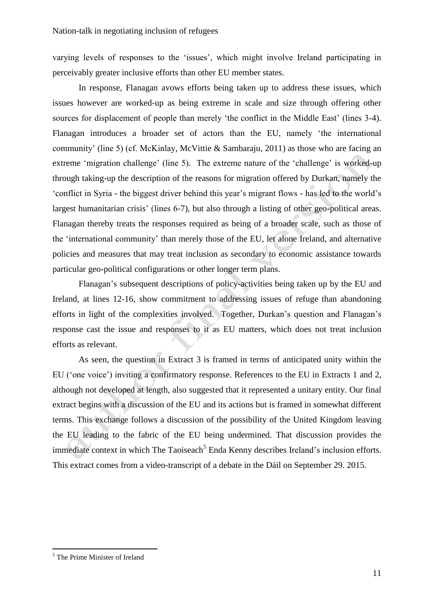varying levels of responses to the 'issues', which might involve Ireland participating in perceivably greater inclusive efforts than other EU member states.

In response, Flanagan avows efforts being taken up to address these issues, which issues however are worked-up as being extreme in scale and size through offering other sources for displacement of people than merely 'the conflict in the Middle East' (lines 3-4). Flanagan introduces a broader set of actors than the EU, namely 'the international community' (line 5) (cf. McKinlay, McVittie & Sambaraju, 2011) as those who are facing an extreme 'migration challenge' (line 5). The extreme nature of the 'challenge' is worked-up through taking-up the description of the reasons for migration offered by Durkan, namely the 'conflict in Syria - the biggest driver behind this year's migrant flows - has led to the world's largest humanitarian crisis' (lines 6-7), but also through a listing of other geo-political areas. Flanagan thereby treats the responses required as being of a broader scale, such as those of the 'international community' than merely those of the EU, let alone Ireland, and alternative policies and measures that may treat inclusion as secondary to economic assistance towards particular geo-political configurations or other longer term plans.

Flanagan's subsequent descriptions of policy-activities being taken up by the EU and Ireland, at lines 12-16, show commitment to addressing issues of refuge than abandoning efforts in light of the complexities involved. Together, Durkan's question and Flanagan's response cast the issue and responses to it as EU matters, which does not treat inclusion efforts as relevant.

As seen, the question in Extract 3 is framed in terms of anticipated unity within the EU ('one voice') inviting a confirmatory response. References to the EU in Extracts 1 and 2, although not developed at length, also suggested that it represented a unitary entity. Our final extract begins with a discussion of the EU and its actions but is framed in somewhat different terms. This exchange follows a discussion of the possibility of the United Kingdom leaving the EU leading to the fabric of the EU being undermined. That discussion provides the immediate context in which The Taoiseach<sup>5</sup> Enda Kenny describes Ireland's inclusion efforts. This extract comes from a video-transcript of a debate in the Dáil on September 29. 2015.

<sup>5</sup> The Prime Minister of Ireland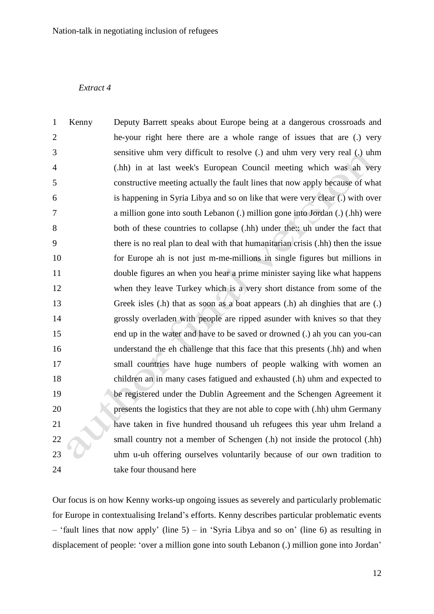# *Extract 4*

| $\mathbf{1}$   | Kenny | Deputy Barrett speaks about Europe being at a dangerous crossroads and           |
|----------------|-------|----------------------------------------------------------------------------------|
| $\overline{2}$ |       | he-your right here there are a whole range of issues that are (.) very           |
| 3              |       | sensitive uhm very difficult to resolve (.) and uhm very very real (.) uhm       |
| $\overline{4}$ |       | (.hh) in at last week's European Council meeting which was ah very               |
| 5              |       | constructive meeting actually the fault lines that now apply because of what     |
| 6              |       | is happening in Syria Libya and so on like that were very clear (.) with over    |
| 7              |       | a million gone into south Lebanon (.) million gone into Jordan (.) (.hh) were    |
| 8              |       | both of these countries to collapse (.hh) under the: uh under the fact that      |
| 9              |       | there is no real plan to deal with that humanitarian crisis (.hh) then the issue |
| 10             |       | for Europe ah is not just m-me-millions in single figures but millions in        |
| 11             |       | double figures an when you hear a prime minister saying like what happens        |
| 12             |       | when they leave Turkey which is a very short distance from some of the           |
| 13             |       | Greek isles (.h) that as soon as a boat appears (.h) ah dinghies that are (.)    |
| 14             |       | grossly overladen with people are ripped asunder with knives so that they        |
| 15             |       | end up in the water and have to be saved or drowned (.) ah you can you-can       |
| 16             |       | understand the eh challenge that this face that this presents (.hh) and when     |
| 17             |       | small countries have huge numbers of people walking with women an                |
| 18             |       | children an in many cases fatigued and exhausted (.h) uhm and expected to        |
| 19             |       | be registered under the Dublin Agreement and the Schengen Agreement it           |
| 20             |       | presents the logistics that they are not able to cope with (.hh) uhm Germany     |
| 21             |       | have taken in five hundred thousand uh refugees this year uhm Ireland a          |
| 22             |       | small country not a member of Schengen (.h) not inside the protocol (.hh)        |
| 23             |       | uhm u-uh offering ourselves voluntarily because of our own tradition to          |
| 24             |       | take four thousand here                                                          |
|                |       |                                                                                  |

Our focus is on how Kenny works-up ongoing issues as severely and particularly problematic for Europe in contextualising Ireland's efforts. Kenny describes particular problematic events – 'fault lines that now apply' (line  $5$ ) – in 'Syria Libya and so on' (line 6) as resulting in displacement of people: 'over a million gone into south Lebanon (.) million gone into Jordan'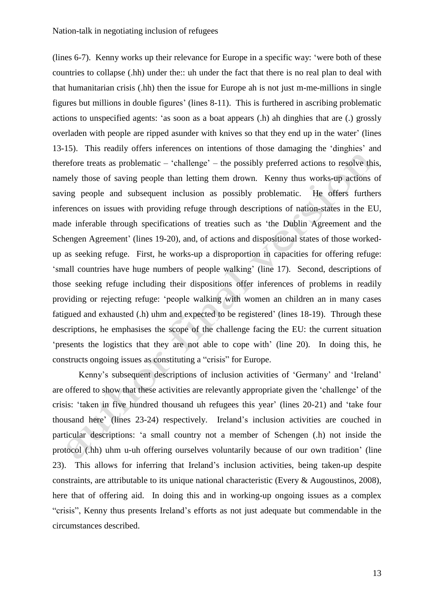(lines 6-7). Kenny works up their relevance for Europe in a specific way: 'were both of these countries to collapse (.hh) under the:: uh under the fact that there is no real plan to deal with that humanitarian crisis (.hh) then the issue for Europe ah is not just m-me-millions in single figures but millions in double figures' (lines 8-11). This is furthered in ascribing problematic actions to unspecified agents: 'as soon as a boat appears (.h) ah dinghies that are (.) grossly overladen with people are ripped asunder with knives so that they end up in the water' (lines 13-15). This readily offers inferences on intentions of those damaging the 'dinghies' and therefore treats as problematic – 'challenge' – the possibly preferred actions to resolve this, namely those of saving people than letting them drown. Kenny thus works-up actions of saving people and subsequent inclusion as possibly problematic. He offers furthers inferences on issues with providing refuge through descriptions of nation-states in the EU, made inferable through specifications of treaties such as 'the Dublin Agreement and the Schengen Agreement' (lines 19-20), and, of actions and dispositional states of those workedup as seeking refuge. First, he works-up a disproportion in capacities for offering refuge: 'small countries have huge numbers of people walking' (line 17). Second, descriptions of those seeking refuge including their dispositions offer inferences of problems in readily providing or rejecting refuge: 'people walking with women an children an in many cases fatigued and exhausted (.h) uhm and expected to be registered' (lines 18-19). Through these descriptions, he emphasises the scope of the challenge facing the EU: the current situation 'presents the logistics that they are not able to cope with' (line 20). In doing this, he constructs ongoing issues as constituting a "crisis" for Europe.

Kenny's subsequent descriptions of inclusion activities of 'Germany' and 'Ireland' are offered to show that these activities are relevantly appropriate given the 'challenge' of the crisis: 'taken in five hundred thousand uh refugees this year' (lines 20-21) and 'take four thousand here' (lines 23-24) respectively. Ireland's inclusion activities are couched in particular descriptions: 'a small country not a member of Schengen (.h) not inside the protocol (.hh) uhm u-uh offering ourselves voluntarily because of our own tradition' (line 23). This allows for inferring that Ireland's inclusion activities, being taken-up despite constraints, are attributable to its unique national characteristic (Every & Augoustinos, 2008), here that of offering aid. In doing this and in working-up ongoing issues as a complex "crisis", Kenny thus presents Ireland's efforts as not just adequate but commendable in the circumstances described.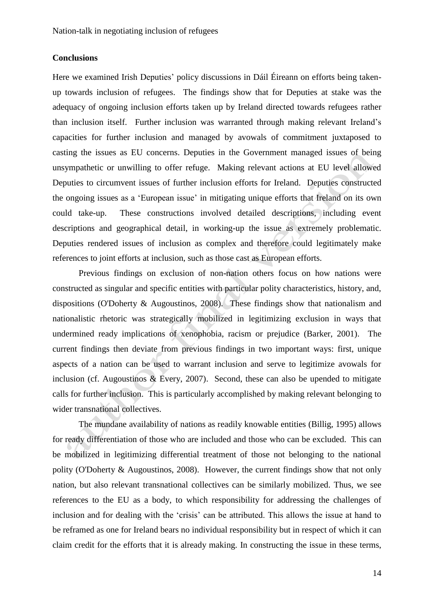# **Conclusions**

Here we examined Irish Deputies' policy discussions in Dáil Éireann on efforts being takenup towards inclusion of refugees. The findings show that for Deputies at stake was the adequacy of ongoing inclusion efforts taken up by Ireland directed towards refugees rather than inclusion itself. Further inclusion was warranted through making relevant Ireland's capacities for further inclusion and managed by avowals of commitment juxtaposed to casting the issues as EU concerns. Deputies in the Government managed issues of being unsympathetic or unwilling to offer refuge. Making relevant actions at EU level allowed Deputies to circumvent issues of further inclusion efforts for Ireland. Deputies constructed the ongoing issues as a 'European issue' in mitigating unique efforts that Ireland on its own could take-up. These constructions involved detailed descriptions, including event descriptions and geographical detail, in working-up the issue as extremely problematic. Deputies rendered issues of inclusion as complex and therefore could legitimately make references to joint efforts at inclusion, such as those cast as European efforts.

Previous findings on exclusion of non-nation others focus on how nations were constructed as singular and specific entities with particular polity characteristics, history, and, dispositions (O'Doherty & Augoustinos, 2008). These findings show that nationalism and nationalistic rhetoric was strategically mobilized in legitimizing exclusion in ways that undermined ready implications of xenophobia, racism or prejudice (Barker, 2001). The current findings then deviate from previous findings in two important ways: first, unique aspects of a nation can be used to warrant inclusion and serve to legitimize avowals for inclusion (cf. Augoustinos & Every, 2007). Second, these can also be upended to mitigate calls for further inclusion. This is particularly accomplished by making relevant belonging to wider transnational collectives.

The mundane availability of nations as readily knowable entities (Billig, 1995) allows for ready differentiation of those who are included and those who can be excluded. This can be mobilized in legitimizing differential treatment of those not belonging to the national polity (O'Doherty & Augoustinos, 2008). However, the current findings show that not only nation, but also relevant transnational collectives can be similarly mobilized. Thus, we see references to the EU as a body, to which responsibility for addressing the challenges of inclusion and for dealing with the 'crisis' can be attributed. This allows the issue at hand to be reframed as one for Ireland bears no individual responsibility but in respect of which it can claim credit for the efforts that it is already making. In constructing the issue in these terms,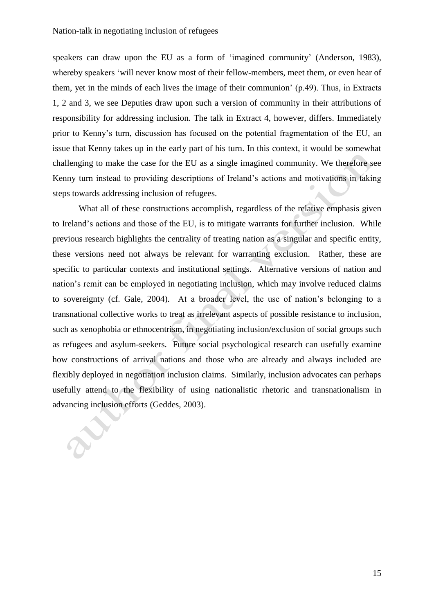speakers can draw upon the EU as a form of 'imagined community' (Anderson, 1983), whereby speakers 'will never know most of their fellow-members, meet them, or even hear of them, yet in the minds of each lives the image of their communion' (p.49). Thus, in Extracts 1, 2 and 3, we see Deputies draw upon such a version of community in their attributions of responsibility for addressing inclusion. The talk in Extract 4, however, differs. Immediately prior to Kenny's turn, discussion has focused on the potential fragmentation of the EU, an issue that Kenny takes up in the early part of his turn. In this context, it would be somewhat challenging to make the case for the EU as a single imagined community. We therefore see Kenny turn instead to providing descriptions of Ireland's actions and motivations in taking steps towards addressing inclusion of refugees.

What all of these constructions accomplish, regardless of the relative emphasis given to Ireland's actions and those of the EU, is to mitigate warrants for further inclusion. While previous research highlights the centrality of treating nation as a singular and specific entity, these versions need not always be relevant for warranting exclusion. Rather, these are specific to particular contexts and institutional settings. Alternative versions of nation and nation's remit can be employed in negotiating inclusion, which may involve reduced claims to sovereignty (cf. Gale, 2004). At a broader level, the use of nation's belonging to a transnational collective works to treat as irrelevant aspects of possible resistance to inclusion, such as xenophobia or ethnocentrism, in negotiating inclusion/exclusion of social groups such as refugees and asylum-seekers. Future social psychological research can usefully examine how constructions of arrival nations and those who are already and always included are flexibly deployed in negotiation inclusion claims. Similarly, inclusion advocates can perhaps usefully attend to the flexibility of using nationalistic rhetoric and transnationalism in advancing inclusion efforts (Geddes, 2003).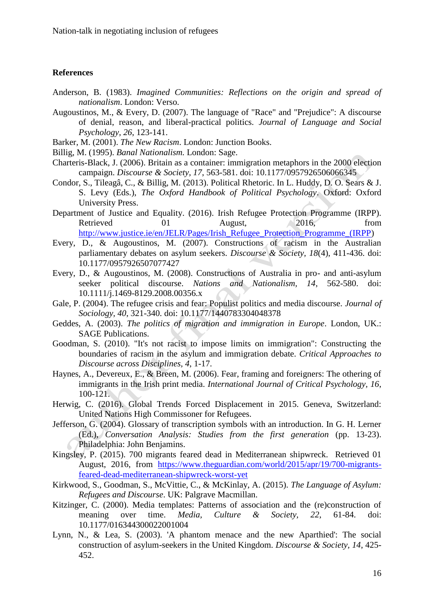#### **References**

- Anderson, B. (1983). *Imagined Communities: Reflections on the origin and spread of nationalism*. London: Verso.
- Augoustinos, M., & Every, D. (2007). The language of "Race" and "Prejudice": A discourse of denial, reason, and liberal-practical politics. *Journal of Language and Social Psychology, 26*, 123-141.
- Barker, M. (2001). *The New Racism*. London: Junction Books.
- Billig, M. (1995). *Banal Nationalism.* London: Sage.
- Charteris-Black, J. (2006). Britain as a container: immigration metaphors in the 2000 election campaign. *Discourse & Society, 17*, 563-581. doi: 10.1177/0957926506066345
- Condor, S., Tileagâ, C., & Billig, M. (2013). Political Rhetoric. In L. Huddy, D. O. Sears & J. S. Levy (Eds.), *The Oxford Handbook of Political Psychology*. Oxford: Oxford University Press.
- Department of Justice and Equality. (2016). Irish Refugee Protection Programme (IRPP). Retrieved 01 August, 2016, from [http://www.justice.ie/en/JELR/Pages/Irish\\_Refugee\\_Protection\\_Programme\\_\(IRPP\)](http://www.justice.ie/en/JELR/Pages/Irish_Refugee_Protection_Programme_(IRPP)
- Every, D., & Augoustinos, M. (2007). Constructions of racism in the Australian parliamentary debates on asylum seekers. *Discourse & Society, 18*(4), 411-436. doi: 10.1177/0957926507077427
- Every, D., & Augoustinos, M. (2008). Constructions of Australia in pro- and anti-asylum seeker political discourse. *Nations and Nationalism, 14*, 562-580. doi: 10.1111/j.1469-8129.2008.00356.x
- Gale, P. (2004). The refugee crisis and fear: Populist politics and media discourse. *Journal of Sociology, 40*, 321-340. doi: 10.1177/1440783304048378
- Geddes, A. (2003). *The politics of migration and immigration in Europe*. London, UK.: SAGE Publications.
- Goodman, S. (2010). "It's not racist to impose limits on immigration": Constructing the boundaries of racism in the asylum and immigration debate. *Critical Approaches to Discourse across Disciplines, 4*, 1-17.
- Haynes, A., Devereux, E., & Breen, M. (2006). Fear, framing and foreigners: The othering of immigrants in the Irish print media. *International Journal of Critical Psychology, 16*, 100-121.
- Herwig, C. (2016). Global Trends Forced Displacement in 2015. Geneva, Switzerland: United Nations High Commissoner for Refugees.
- Jefferson, G. (2004). Glossary of transcription symbols with an introduction. In G. H. Lerner (Ed.), *Conversation Analysis: Studies from the first generation* (pp. 13-23). Philadelphia: John Benjamins.
- Kingsley, P. (2015). 700 migrants feared dead in Mediterranean shipwreck. Retrieved 01 August, 2016, from [https://www.theguardian.com/world/2015/apr/19/700-migrants](https://www.theguardian.com/world/2015/apr/19/700-migrants-feared-dead-mediterranean-shipwreck-worst-yet)[feared-dead-mediterranean-shipwreck-worst-yet](https://www.theguardian.com/world/2015/apr/19/700-migrants-feared-dead-mediterranean-shipwreck-worst-yet)
- Kirkwood, S., Goodman, S., McVittie, C., & McKinlay, A. (2015). *The Language of Asylum: Refugees and Discourse*. UK: Palgrave Macmillan.
- Kitzinger, C. (2000). Media templates: Patterns of association and the (re)construction of meaning over time. *Media, Culture & Society, 22*, 61-84. doi: 10.1177/016344300022001004
- Lynn, N., & Lea, S. (2003). 'A phantom menace and the new Aparthied': The social construction of asylum-seekers in the United Kingdom. *Discourse & Society, 14*, 425- 452.